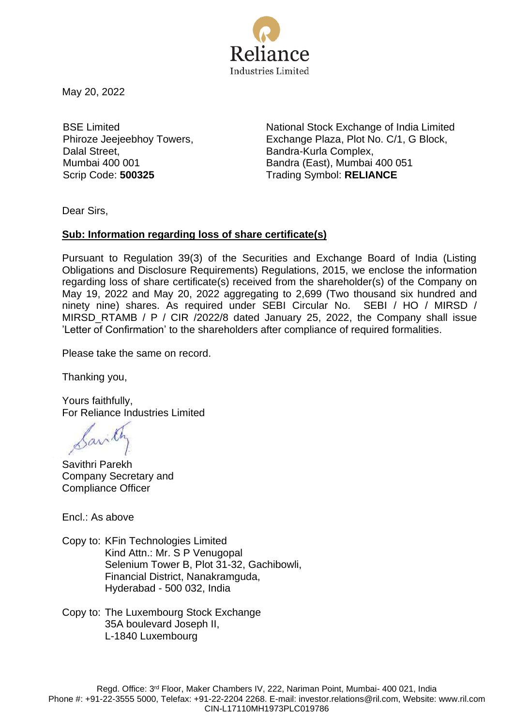

May 20, 2022

BSE Limited Phiroze Jeejeebhoy Towers, Dalal Street, Mumbai 400 001

National Stock Exchange of India Limited Exchange Plaza, Plot No. C/1, G Block, Bandra-Kurla Complex, Bandra (East), Mumbai 400 051 Scrip Code: **500325** Trading Symbol: **RELIANCE**

Dear Sirs,

## **Sub: Information regarding loss of share certificate(s)**

Pursuant to Regulation 39(3) of the Securities and Exchange Board of India (Listing Obligations and Disclosure Requirements) Regulations, 2015, we enclose the information regarding loss of share certificate(s) received from the shareholder(s) of the Company on May 19, 2022 and May 20, 2022 aggregating to 2,699 (Two thousand six hundred and ninety nine) shares. As required under SEBI Circular No. SEBI / HO / MIRSD / MIRSD RTAMB / P / CIR /2022/8 dated January 25, 2022, the Company shall issue 'Letter of Confirmation' to the shareholders after compliance of required formalities.

Please take the same on record.

Thanking you,

Yours faithfully, For Reliance Industries Limited

Santh

Savithri Parekh Company Secretary and Compliance Officer

Encl.: As above

Copy to: KFin Technologies Limited Kind Attn.: Mr. S P Venugopal Selenium Tower B, Plot 31-32, Gachibowli, Financial District, Nanakramguda, Hyderabad - 500 032, India

Copy to: The Luxembourg Stock Exchange 35A boulevard Joseph II, L-1840 Luxembourg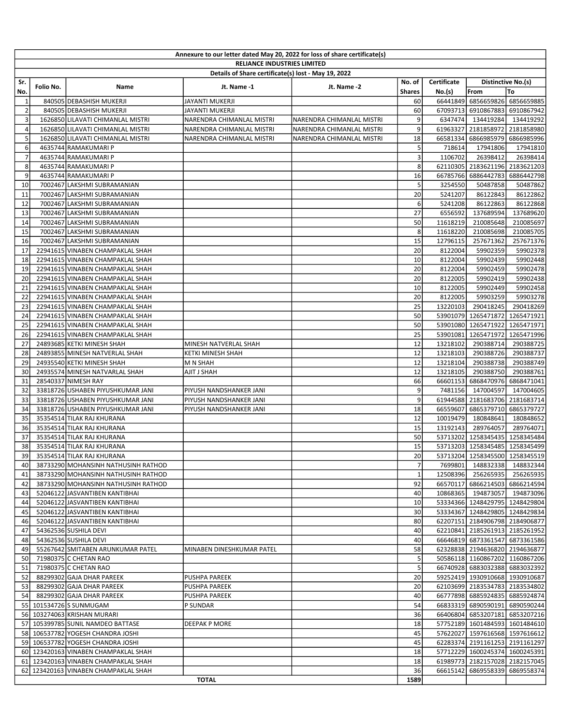| Annexure to our letter dated May 20, 2022 for loss of share certificate(s) |           |                                                                           |                                    |                           |                                   |                              |                                                                  |                       |  |  |
|----------------------------------------------------------------------------|-----------|---------------------------------------------------------------------------|------------------------------------|---------------------------|-----------------------------------|------------------------------|------------------------------------------------------------------|-----------------------|--|--|
|                                                                            |           |                                                                           | <b>RELIANCE INDUSTRIES LIMITED</b> |                           |                                   |                              |                                                                  |                       |  |  |
|                                                                            |           | Details of Share certificate(s) lost - May 19, 2022<br>Distinctive No.(s) |                                    |                           |                                   |                              |                                                                  |                       |  |  |
| Sr.<br>No.                                                                 | Folio No. | Name                                                                      | Jt. Name -1                        | Jt. Name -2               | No. of<br><b>Shares</b>           | Certificate<br><b>No.(s)</b> | From                                                             | To                    |  |  |
| 1                                                                          |           | 840505 DEBASHISH MUKERJI                                                  | <b>JAYANTI MUKERJI</b>             |                           | 60                                |                              | 66441849 6856659826                                              | 6856659885            |  |  |
| $\overline{2}$                                                             |           | 840505 DEBASHISH MUKERJI                                                  | <b>JAYANTI MUKERJI</b>             |                           | 60                                | 67093713                     |                                                                  | 6910867883 6910867942 |  |  |
| 3                                                                          |           | 1626850 LILAVATI CHIMANLAL MISTRI                                         | NARENDRA CHIMANLAL MISTRI          | NARENDRA CHIMANLAL MISTRI | 9                                 | 6347474                      | 134419284                                                        | 134419292             |  |  |
| $\overline{4}$                                                             |           | 1626850 LILAVATI CHIMANLAL MISTRI                                         | NARENDRA CHIMANLAL MISTRI          | NARENDRA CHIMANLAL MISTRI | 9                                 |                              | 61963327 2181858972                                              | 2181858980            |  |  |
| 5                                                                          |           | 1626850 LILAVATI CHIMANLAL MISTRI                                         | NARENDRA CHIMANLAL MISTRI          | NARENDRA CHIMANLAL MISTRI | 18                                | 66581334                     | 6866985979                                                       | 6866985996            |  |  |
| 6                                                                          |           | 4635744 RAMAKUMARI P                                                      |                                    |                           | 5                                 | 718614                       | 17941806                                                         | 17941810              |  |  |
| $\overline{7}$                                                             |           | 4635744 RAMAKUMARI P                                                      |                                    |                           | 3                                 | 1106702                      | 26398412                                                         | 26398414              |  |  |
| 8                                                                          |           | 4635744 RAMAKUMARI P                                                      |                                    |                           | 8                                 |                              | 62110305 2183621196 2183621203                                   |                       |  |  |
| 9                                                                          |           | 4635744 RAMAKUMARI P                                                      |                                    |                           | 16                                | 66785766                     | 6886442783                                                       | 6886442798            |  |  |
| 10                                                                         |           | 7002467 LAKSHMI SUBRAMANIAN                                               |                                    |                           | 5                                 | 3254550                      | 50487858                                                         | 50487862              |  |  |
| 11                                                                         |           | 7002467 LAKSHMI SUBRAMANIAN                                               |                                    |                           | 20                                | 5241207                      | 86122843                                                         | 86122862              |  |  |
| 12                                                                         |           | 7002467 LAKSHMI SUBRAMANIAN                                               |                                    |                           | 6                                 | 5241208                      | 86122863                                                         | 86122868              |  |  |
| 13                                                                         |           | 7002467 LAKSHMI SUBRAMANIAN                                               |                                    |                           | 27                                | 6556592                      | 137689594                                                        | 137689620             |  |  |
| 14                                                                         |           | 7002467 LAKSHMI SUBRAMANIAN                                               |                                    |                           | 50                                | 11618219                     | 210085648                                                        | 210085697             |  |  |
| 15                                                                         |           | 7002467 LAKSHMI SUBRAMANIAN                                               |                                    |                           | 8                                 | 11618220                     | 210085698                                                        | 210085705             |  |  |
| 16                                                                         |           | 7002467 LAKSHMI SUBRAMANIAN                                               |                                    |                           | 15                                | 12796115                     | 257671362                                                        | 257671376             |  |  |
| 17                                                                         |           | 22941615 VINABEN CHAMPAKLAL SHAH                                          |                                    |                           | 20                                | 8122004                      | 59902359                                                         | 59902378              |  |  |
| 18                                                                         |           | 22941615 VINABEN CHAMPAKLAL SHAH                                          |                                    |                           | 10                                | 8122004                      | 59902439                                                         | 59902448              |  |  |
| 19                                                                         |           | 22941615 VINABEN CHAMPAKLAL SHAH                                          |                                    |                           | 20                                | 8122004                      | 59902459                                                         | 59902478              |  |  |
| 20<br>21                                                                   |           | 22941615 VINABEN CHAMPAKLAL SHAH<br>22941615 VINABEN CHAMPAKLAL SHAH      |                                    |                           | 20<br>10                          | 8122005<br>8122005           | 59902419<br>59902449                                             | 59902438<br>59902458  |  |  |
| 22                                                                         |           | 22941615 VINABEN CHAMPAKLAL SHAH                                          |                                    |                           | 20                                | 8122005                      | 59903259                                                         | 59903278              |  |  |
| 23                                                                         |           | 22941615 VINABEN CHAMPAKLAL SHAH                                          |                                    |                           | 25                                | 13220103                     | 290418245                                                        | 290418269             |  |  |
| 24                                                                         |           | 22941615 VINABEN CHAMPAKLAL SHAH                                          |                                    |                           | 50                                |                              | 53901079 1265471872                                              | 1265471921            |  |  |
| 25                                                                         |           | 22941615 VINABEN CHAMPAKLAL SHAH                                          |                                    |                           | 50                                | 53901080                     | 1265471922                                                       | 1265471971            |  |  |
| 26                                                                         |           | 22941615 VINABEN CHAMPAKLAL SHAH                                          |                                    |                           | 25                                | 53901081                     | 1265471972                                                       | 1265471996            |  |  |
| 27                                                                         |           | 24893685 KETKI MINESH SHAH                                                | MINESH NATVERLAL SHAH              |                           | 12                                | 13218102                     | 290388714                                                        | 290388725             |  |  |
| 28                                                                         |           | 24893855 MINESH NATVERLAL SHAH                                            | KETKI MINESH SHAH                  |                           | 12                                | 13218103                     | 290388726                                                        | 290388737             |  |  |
| 29                                                                         |           | 24935540 KETKI MINESH SHAH                                                | M N SHAH                           |                           | 12                                | 13218104                     | 290388738                                                        | 290388749             |  |  |
| 30                                                                         |           | 24935574 MINESH NATVARLAL SHAH                                            | AJIT J SHAH                        |                           | 12                                | 13218105                     | 290388750                                                        | 290388761             |  |  |
| 31                                                                         |           | 28540337 NIMESH RAY                                                       |                                    |                           | 66                                | 66601153                     | 6868470976                                                       | 6868471041            |  |  |
| 32                                                                         |           | 33818726 USHABEN PIYUSHKUMAR JANI                                         | PIYUSH NANDSHANKER JANI            |                           | 9                                 | 7481156                      | 147004597                                                        | 147004605             |  |  |
| 33                                                                         |           | 33818726 USHABEN PIYUSHKUMAR JANI                                         | PIYUSH NANDSHANKER JANI            |                           | 9                                 |                              | 61944588 2181683706                                              | 2181683714            |  |  |
| 34                                                                         |           | 33818726 USHABEN PIYUSHKUMAR JANI                                         | PIYUSH NANDSHANKER JANI            |                           | 18                                | 66559607                     | 6865379710                                                       | 6865379727            |  |  |
| 35                                                                         |           | 35354514 TILAK RAJ KHURANA                                                |                                    |                           | 12                                | 10019479                     | 180848641                                                        | 180848652             |  |  |
| 36                                                                         |           | 35354514 TILAK RAJ KHURANA                                                |                                    |                           | 15                                | 13192143                     | 289764057                                                        | 289764071             |  |  |
| 37                                                                         |           | 35354514 TILAK RAJ KHURANA                                                |                                    |                           | 50                                |                              | 53713202 1258345435 1258345484                                   |                       |  |  |
| 38                                                                         |           | 35354514 TILAK RAJ KHURANA                                                |                                    |                           | 15                                |                              | 53713203 1258345485 1258345499                                   |                       |  |  |
| 39                                                                         |           | 35354514 TILAK RAJ KHURANA<br>38733290 MOHANSINH NATHUSINH RATHOD         |                                    |                           | 20 <sup>1</sup><br>$\overline{7}$ |                              | 53713204 1258345500 1258345519                                   | 148832338 148832344   |  |  |
| 40 I<br>41                                                                 |           | 38733290 MOHANSINH NATHUSINH RATHOD                                       |                                    |                           | $\mathbf{1}$                      | 7699801 <br>12508396         | 256265935                                                        | 256265935             |  |  |
| 42                                                                         |           | 38733290 MOHANSINH NATHUSINH RATHOD                                       |                                    |                           | 92                                |                              | 66570117 6866214503 6866214594                                   |                       |  |  |
| 43                                                                         |           | 52046122 JASVANTIBEN KANTIBHAI                                            |                                    |                           | 40                                |                              | 10868365 194873057                                               | 194873096             |  |  |
| 44                                                                         |           | 52046122 JASVANTIBEN KANTIBHAI                                            |                                    |                           | 10                                |                              | 53334366 1248429795 1248429804                                   |                       |  |  |
| 45                                                                         |           | 52046122 JASVANTIBEN KANTIBHAI                                            |                                    |                           | 30                                |                              | 53334367 1248429805 1248429834                                   |                       |  |  |
| 46                                                                         |           | 52046122 JASVANTIBEN KANTIBHAI                                            |                                    |                           | 80                                |                              | 62207151 2184906798 2184906877                                   |                       |  |  |
| 47                                                                         |           | 54362536 SUSHILA DEVI                                                     |                                    |                           | 40                                |                              | 62210841 2185261913 2185261952                                   |                       |  |  |
| 48                                                                         |           | 54362536 SUSHILA DEVI                                                     |                                    |                           | 40                                |                              | 66646819 6873361547 6873361586                                   |                       |  |  |
| 49                                                                         |           | 55267642 SMITABEN ARUNKUMAR PATEL                                         | MINABEN DINESHKUMAR PATEL          |                           | 58                                |                              | 62328838 2194636820 2194636877                                   |                       |  |  |
|                                                                            |           | 50 71980375 C CHETAN RAO                                                  |                                    |                           | 5                                 |                              | 50586118 1160867202 1160867206                                   |                       |  |  |
| 51                                                                         |           | 71980375 C CHETAN RAO                                                     |                                    |                           | 5 <sup>5</sup>                    |                              | 66740928 6883032388 6883032392                                   |                       |  |  |
| 52                                                                         |           | 88299302 GAJA DHAR PAREEK                                                 | <b>PUSHPA PAREEK</b>               |                           | 20                                |                              | 59252419 1930910668 1930910687                                   |                       |  |  |
| 53                                                                         |           | 88299302 GAJA DHAR PAREEK                                                 | PUSHPA PAREEK                      |                           | 20                                |                              | 62103699 2183534783 2183534802                                   |                       |  |  |
| 54                                                                         |           | 88299302 GAJA DHAR PAREEK                                                 | PUSHPA PAREEK                      |                           | 40                                |                              | 66777898 6885924835 6885924874                                   |                       |  |  |
|                                                                            |           | 55   101534726 SUNMUGAM                                                   | P SUNDAR                           |                           | 54                                |                              | 66833319 6890590191                                              | 6890590244            |  |  |
|                                                                            |           | 56 103274063 KRISHAN MURARI                                               |                                    |                           | 36                                |                              | 66406804 6853207181 6853207216                                   |                       |  |  |
|                                                                            |           | 57 105399785 SUNIL NAMDEO BATTASE<br>58 106537782 YOGESH CHANDRA JOSHI    | <b>DEEPAK P MORE</b>               |                           | 18<br>45                          |                              | 57752189 1601484593 1601484610<br>57622027 1597616568 1597616612 |                       |  |  |
|                                                                            |           | 59 106537782 YOGESH CHANDRA JOSHI                                         |                                    |                           | 45                                |                              | 62283374 2191161253 2191161297                                   |                       |  |  |
|                                                                            |           | 60 123420163 VINABEN CHAMPAKLAL SHAH                                      |                                    |                           | 18                                |                              | 57712229 1600245374 1600245391                                   |                       |  |  |
|                                                                            |           | 61 123420163 VINABEN CHAMPAKLAL SHAH                                      |                                    |                           | 18                                |                              | 61989773 2182157028 2182157045                                   |                       |  |  |
|                                                                            |           | 62 123420163 VINABEN CHAMPAKLAL SHAH                                      |                                    |                           | 36                                |                              | 66615142 6869558339 6869558374                                   |                       |  |  |
|                                                                            |           |                                                                           | <b>TOTAL</b>                       |                           | 1589                              |                              |                                                                  |                       |  |  |